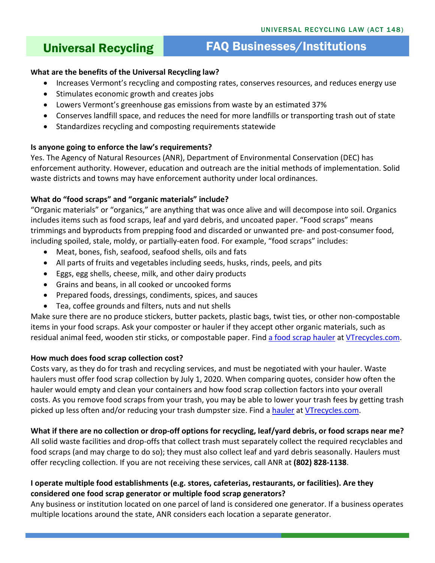# Universal Recycling FAQ Businesses/Institutions

# **What are the benefits of the Universal Recycling law?**

- Increases Vermont's recycling and composting rates, conserves resources, and reduces energy use
- Stimulates economic growth and creates jobs
- Lowers Vermont's greenhouse gas emissions from waste by an estimated 37%
- Conserves landfill space, and reduces the need for more landfills or transporting trash out of state
- Standardizes recycling and composting requirements statewide

# **Is anyone going to enforce the law's requirements?**

Yes. The Agency of Natural Resources (ANR), Department of Environmental Conservation (DEC) has enforcement authority. However, education and outreach are the initial methods of implementation. Solid waste districts and towns may have enforcement authority under local ordinances.

# **What do "food scraps" and "organic materials" include?**

"Organic materials" or "organics," are anything that was once alive and will decompose into soil. Organics includes items such as food scraps, leaf and yard debris, and uncoated paper. "Food scraps" means trimmings and byproducts from prepping food and discarded or unwanted pre- and post-consumer food, including spoiled, stale, moldy, or partially-eaten food. For example, "food scraps" includes:

- Meat, bones, fish, seafood, seafood shells, oils and fats
- All parts of fruits and vegetables including seeds, husks, rinds, peels, and pits
- Eggs, egg shells, cheese, milk, and other dairy products
- Grains and beans, in all cooked or uncooked forms
- Prepared foods, dressings, condiments, spices, and sauces
- Tea, coffee grounds and filters, nuts and nut shells

Make sure there are no produce stickers, butter packets, plastic bags, twist ties, or other non-compostable items in your food scraps. Ask your composter or hauler if they accept other organic materials, such as residual animal feed, wooden stir sticks, or compostable paper. Find [a food scrap hauler](https://dec.vermont.gov/sites/dec/files/wmp/SolidWaste/Documents/FoodScrapHaulersSTATEWIDELIST.pdf) at [VTrecycles.com.](http://www.vtrecycles.com/)

# **How much does food scrap collection cost?**

Costs vary, as they do for trash and recycling services, and must be negotiated with your hauler. Waste haulers must offer food scrap collection by July 1, 2020. When comparing quotes, consider how often the hauler would empty and clean your containers and how food scrap collection factors into your overall costs. As you remove food scraps from your trash, you may be able to lower your trash fees by getting trash picked up less often and/or reducing your trash dumpster size. Find a [hauler](https://dec.vermont.gov/sites/dec/files/wmp/SolidWaste/Documents/FoodScrapHaulersSTATEWIDELIST.pdf) at [VTrecycles.com.](http://dec.vermont.gov/sites/dec/files/wmp/SolidWaste/Documents/FoodScrapHaulersSTATEWIDELIST.pdf)

# **What if there are no collection or drop-off options for recycling, leaf/yard debris, or food scraps near me?**

All solid waste facilities and drop-offs that collect trash must separately collect the required recyclables and food scraps (and may charge to do so); they must also collect leaf and yard debris seasonally. Haulers must offer recycling collection. If you are not receiving these services, call ANR at **(802) 828-1138**.

# **I operate multiple food establishments (e.g. stores, cafeterias, restaurants, or facilities). Are they considered one food scrap generator or multiple food scrap generators?**

Any business or institution located on one parcel of land is considered one generator. If a business operates multiple locations around the state, ANR considers each location a separate generator.